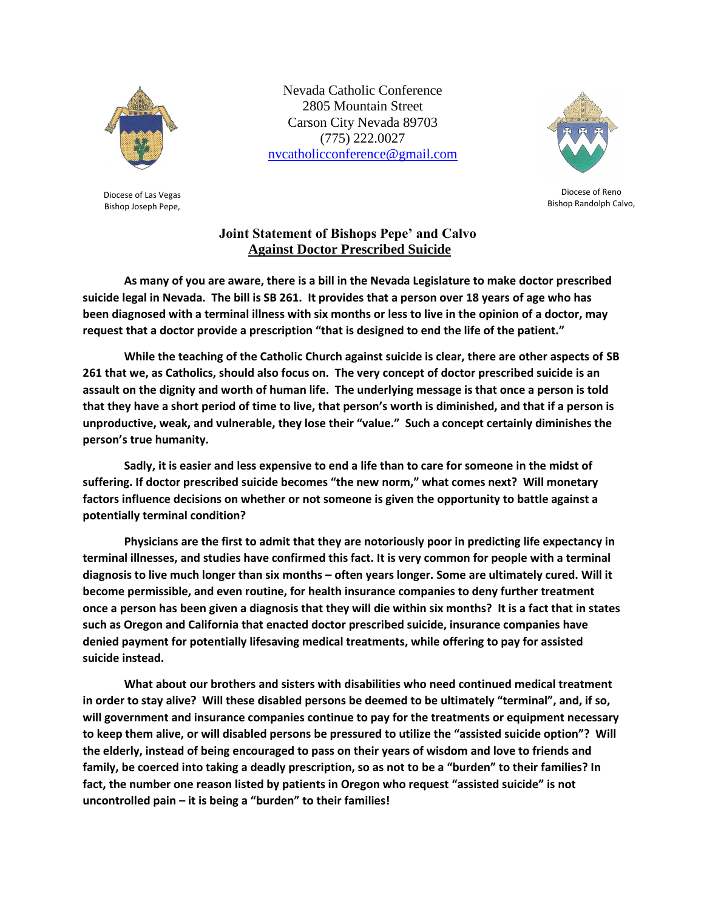

Diocese of Las Vegas Bishop Joseph Pepe,

Nevada Catholic Conference 2805 Mountain Street Carson City Nevada 89703 (775) 222.0027 [nvcatholicconference@gmail.com](mailto:nvcatholicconference@gmail.com)



Diocese of Reno Bishop Randolph Calvo,

## **Joint Statement of Bishops Pepe' and Calvo Against Doctor Prescribed Suicide**

**As many of you are aware, there is a bill in the Nevada Legislature to make doctor prescribed suicide legal in Nevada. The bill is SB 261. It provides that a person over 18 years of age who has been diagnosed with a terminal illness with six months or less to live in the opinion of a doctor, may request that a doctor provide a prescription "that is designed to end the life of the patient."**

**While the teaching of the Catholic Church against suicide is clear, there are other aspects of SB 261 that we, as Catholics, should also focus on. The very concept of doctor prescribed suicide is an assault on the dignity and worth of human life. The underlying message is that once a person is told that they have a short period of time to live, that person's worth is diminished, and that if a person is unproductive, weak, and vulnerable, they lose their "value." Such a concept certainly diminishes the person's true humanity.** 

**Sadly, it is easier and less expensive to end a life than to care for someone in the midst of suffering. If doctor prescribed suicide becomes "the new norm," what comes next? Will monetary factors influence decisions on whether or not someone is given the opportunity to battle against a potentially terminal condition?** 

**Physicians are the first to admit that they are notoriously poor in predicting life expectancy in terminal illnesses, and studies have confirmed this fact. It is very common for people with a terminal diagnosis to live much longer than six months – often years longer. Some are ultimately cured. Will it become permissible, and even routine, for health insurance companies to deny further treatment once a person has been given a diagnosis that they will die within six months? It is a fact that in states such as Oregon and California that enacted doctor prescribed suicide, insurance companies have denied payment for potentially lifesaving medical treatments, while offering to pay for assisted suicide instead.** 

**What about our brothers and sisters with disabilities who need continued medical treatment in order to stay alive? Will these disabled persons be deemed to be ultimately "terminal", and, if so, will government and insurance companies continue to pay for the treatments or equipment necessary to keep them alive, or will disabled persons be pressured to utilize the "assisted suicide option"? Will the elderly, instead of being encouraged to pass on their years of wisdom and love to friends and family, be coerced into taking a deadly prescription, so as not to be a "burden" to their families? In fact, the number one reason listed by patients in Oregon who request "assisted suicide" is not uncontrolled pain – it is being a "burden" to their families!**